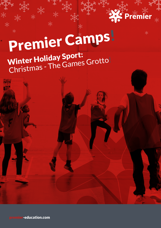

漱

# Premier Camps! Winter Holiday Sport: Winter Hollday Sports<br>Christmas - The Games Grotto!

premier-education.com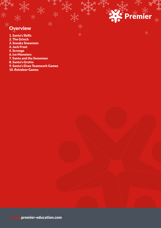# **Overview**

1. Santa's Skills

- 2. The Grinch
- 3. Sneaky Snowmen
- 4. Jack Frost
- 5. Scrooge
- 6. Ice Monsters
- 7. Santa and the Snowmen
- 8. Santa's Grotto
- 9. Santa's Elves Teamwork Games

漱

emi

茶

10. Reindeer Games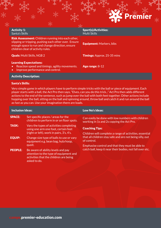| <b>XS Premier</b> |  |
|-------------------|--|
| JI.               |  |
|                   |  |

#### Activity 1: Santa's Skills

Risk Assessment: Children running into each other, slipping or tripping, pushing each other over. Ensure enough space to run and change direction, ensure children clear of activity rules.

#### Learning Expectations:

- Reaction speed and timings, agility movements.
- Improve performance and control.

Sport(s)/Activities: Multi Skills

Equipment: Markers, bibs

**Quals:** Multi Skills, NGB 2 Timings: Approx. 25-35 mins

Age range: 8-12

#### Activity Description:

#### Santa's Skills:

Very simple game in which players have to perform simple tricks with the ball or piece of equipment. Each player starts with a ball, the Act Pro then says, "Elves, can you do this trick..." Act Pro then adds different actions to the end of the sentence, such as jump over the ball with both feet together. Other actions include hopping over the ball, sitting on the ball and spinning around, throw ball and catch it and run around the ball as fast as you can. Use your imagination there are loads.

| <b>Inclusion Ideas:</b> |                                                                                                                                  | Low No's Ideas:                                                                                                                    |
|-------------------------|----------------------------------------------------------------------------------------------------------------------------------|------------------------------------------------------------------------------------------------------------------------------------|
| <b>SPACE:</b>           | Set specific places / areas for the<br>children to perform in or on floor spots.                                                 | Can easily be done with low numbers with children<br>working in 1s and 2s copying the Act Pro.                                     |
| <b>TASK:</b>            | Vary the types of activities completing<br>using one arm one foot, certain feet                                                  | <b>Coaching Tips:</b>                                                                                                              |
| <b>EQUIP:</b>           | (right or left), work in pairs, 3's, 4's.<br>Change size type of balls to use or vary<br>equipment e.g. bean bag, hula hoop,     | Children will complete a range of activities, essential<br>that all children stay safe and are not being silly, out<br>of control. |
| <b>PEOPLE:</b>          | quoit.<br>Be aware of ability levels and pay<br>attention to the type of equipment and<br>activities that the children are being | Emphasise control and that they must be able to<br>catch ball, keep it near their bodies, not fall over etc.                       |

asked to do.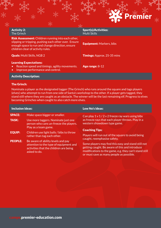#### Activity 2: The Grinch

Risk Assessment: Children running into each other, slipping or tripping, pushing each other over. Ensure enough space to run and change direction, ensure children clear of activity rules.

#### Learning Expectations:

- Reaction speed and timings, agility movements.
- Improve performance and control.

Sport(s)/Activities: Multi Skills

Equipment: Markers, bibs

**Quals:** Multi Skills, NGB 2 Timings: Approx. 25-35 mins

Age range: 8-12

#### Activity Description:

#### The Grinch:

Nominate a player as the designated tagger (The Grinch) who runs around the square and tags players (elves) who attempt to run from one side of Santa's workshop to the other. If a player gets tagged, they stand still where they are caught as an obstacle. The winner will be the last remaining elf. Progress to elves becoming Grinches when caught to also catch more elves.

#### Inclusion Ideas: Low No's Ideas:

- SPACE: Make space bigger or smaller.
- TASK: Use more taggers. Nominate just one person who cans un-freeze the players. Play as a team game.
- EQUIP: Children use light balls / bibs to throw rather than tag each other.
- PEOPLE: Be aware of ability levels and pay attention to the type of equipment and activities that the children are being asked to do.

Can play  $1 \vee 1 / 2 \vee 2$  freeze ray wars using bibs as freeze rays that each player throws. Play in a western showdown type game.

#### Coaching Tips:

Players will run out of the square to avoid being caught, reemphasise safety.

Some players may find this easy and stand still not getting caught. Be aware of this and introduce modifications to the game, e.g. they can't stand still or must save as many people as possible.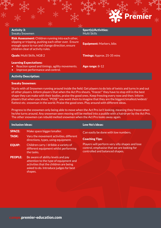|              | <b>SPremier</b> |  |
|--------------|-----------------|--|
| $\mathbf{u}$ |                 |  |
|              |                 |  |

## Activity 3: Sneaky Snowmen Risk Assessment: Children running into each other, slipping or tripping, pushing each other over. Ensure enough space to run and change direction, ensure children clear of activity rules. **Quals:** Multi Skills, NGB 2 Timings: Approx. 25-35 mins

#### Learning Expectations:

- Reaction speed and timings, agility movements.
- Improve performance and control.

Sport(s)/Activities: Multi Skills

Equipment: Markers, bibs

Age range: 8-12

#### Activity Description:

#### Sneaky Snowmen:

Starts with all Snowmen running around inside the field. Get players to do lots of twists and turns in and out of other players. Inform players that when the Act Pro shouts, "freeze!" they have to stop still in the best shape they can make with their bodies, praise the good ones. Keep freezing every now and then. Inform players that when you shout, "POSE" you want them to imagine that they are the biggest/smallest/widest/ flattest etc. snowman in the world. Praise the good ones. Play around with different ideas.

Progress to the snowmen only being able to move when the Act Pro isn't looking, meaning they freeze when he/she turns around. Any snowman seen moving will be melted into a puddle with a hairdryer by the Act Pro. The other snowmen can rebuild melted snowmen when the Act Pro looks away again.

| <b>Inclusion Ideas:</b> |                                                                                                                                                                             | <b>Low No's Ideas:</b>                                                                                                           |
|-------------------------|-----------------------------------------------------------------------------------------------------------------------------------------------------------------------------|----------------------------------------------------------------------------------------------------------------------------------|
| <b>SPACE:</b>           | Make space bigger/smaller.                                                                                                                                                  | Can easily be done with low numbers.                                                                                             |
| <b>TASK:</b>            | Vary the movement activities, different<br>directions, types, using equipment.                                                                                              | <b>Coaching Tips:</b>                                                                                                            |
| <b>EQUIP:</b>           | Children carry / dribble a variety of<br>different equipment whilst performing<br>the tasks.                                                                                | Players will perform very silly shapes and lose<br>control, emphasise that we are looking for<br>controlled and balanced shapes. |
| <b>PEOPLE:</b>          | Be aware of ability levels and pay<br>attention to the type of equipment and<br>activities that the children are being<br>asked to do. Introduce judges for best<br>shapes. |                                                                                                                                  |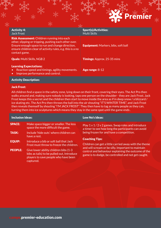

| <b>Activity 4:</b><br>Jack Frost                                                                                                                                                                                                               | <b>Sport(s)/Activities:</b><br>Multi Skills |
|------------------------------------------------------------------------------------------------------------------------------------------------------------------------------------------------------------------------------------------------|---------------------------------------------|
| <b>Risk Assessment:</b> Children running into each<br>other, slipping or tripping, pushing each other over.<br>Ensure enough space to run and change direction,<br>ensure children clear of activity rules, e.g. this is a no<br>contact game. | <b>Equipment:</b> Markers, bibs, soft ball  |
| <b>Quals:</b> Multi Skills, NGB 2                                                                                                                                                                                                              | <b>Timings:</b> Approx. 25-35 mins          |
| <b>Learning Expectations:</b><br>Reaction speed and timings, agility movements.<br>$\bullet$                                                                                                                                                   | Age range: $8-12$                           |

Activity Description:

• Improve performance and control.

#### Jack Frost:

All children find a space in the safety zone, lying down on their front, covering their eyes. The Act Pro then walks around and, making sure nobody is looking, taps one person on the shoulder - they are Jack Frost. Jack Frost keeps this a secret and the children then start to move inside the area as if in deep snow / a blizzard / ice skating etc. The Act Pro then throws the ball into the air shouting "IT'S WINTER TIME", and Jack Frost then reveals themself by shouting "I'M JACK FROST". They then have to tag as many people as they can, turning them into ice sculptures which means they stay in the same spot until the game ends .

| <b>Inclusion Ideas:</b> |                                                                                                                                          | Low No's Ideas:                                                                                                                                                  |
|-------------------------|------------------------------------------------------------------------------------------------------------------------------------------|------------------------------------------------------------------------------------------------------------------------------------------------------------------|
| <b>SPACE:</b>           | Make space bigger or smaller. The less<br>space the more difficult the game.                                                             | Play $1 \vee 1/2 \vee 2$ games. Swap roles and introduce<br>a timer to see how long the participants can avoid                                                   |
| <b>TASK:</b>            | Include 'hide outs' where children can<br>have a rest.                                                                                   | being frozen for and have a competition.                                                                                                                         |
| <b>EQUIP:</b>           | Introduce a bib or soft ball that Jack<br>Frost must throw to freeze the children.                                                       | <b>Coaching Tips:</b><br>Children can get a little carried away with the theme                                                                                   |
| <b>PEOPLE:</b>          | Give lower ability children bibs (1-3<br>bibs as tails) to be pulled out, Introduce<br>players to save people who have been<br>captured. | and will scream or be silly. Important to maintain<br>control and behaviour explaining the outcome of the<br>game is to dodge, be controlled and not get caught. |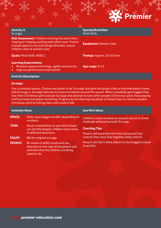|     | <b>SPremier</b> |  |
|-----|-----------------|--|
| Jr. |                 |  |
|     |                 |  |

## Activity 5: Scrooge Risk Assessment: Children running into each other, slipping or tripping, pushing each other over. Ensure enough space to run and change direction, ensure children clear of activity rules. **Quals:** Multi Skills, NGB 2 Timings: Approx. 25-35 mins

#### Learning Expectations:

- Reaction speed and timings, agility movements.
- Improve performance and control.

Sport(s)/Activities: Multi Skills

Equipment: Markers, bibs

Age range: 8-12

#### Activity Description:

#### Scrooge:

Use a standard square. Choose one player to be 'Scrooge' and give this player a bib so that everybody knows who Scrooge is. Scrooge then has to chase everybody around the square. When somebody gets tagged they lose their Christmas spirit and join Scrooge and attempt to take other people's Christmas spirit. Keep playing until you have one player remaining. Progress by introducing one player as Santa Claus to restore people's Christmas spirit by hitting them with a ball or bib.

| <b>Inclusion Ideas:</b>  |                                                                                                                                        | Low No's Ideas:                                                                            |  |
|--------------------------|----------------------------------------------------------------------------------------------------------------------------------------|--------------------------------------------------------------------------------------------|--|
| <b>SPACE:</b>            | Make space bigger/smaller depending on<br>numbers.                                                                                     | Children could complete an assault course or timed<br>challenge while joined with Scrooge. |  |
| <b>TASK:</b>             | Have a competition to see which player<br>can last the longest, children must move                                                     | <b>Coaching Tips:</b>                                                                      |  |
| in different directions. | Players will separate from their group and lose                                                                                        |                                                                                            |  |
| <b>EQUIP:</b>            | Bib for original scrooge.                                                                                                              | control; they must stay together, keep control.                                            |  |
| <b>PEOPLE:</b>           | Be aware of ability levels and pay<br>attention to the type of equipment and<br>activities that the children are being<br>asked to do. | Keep it safe don't allow players to be dragged around<br>to quickly.                       |  |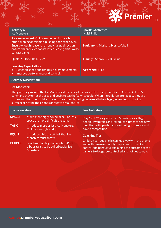

| <b>Activity 6:</b><br>Ice Monsters                                                                                                                                                                                                             | <b>Sport(s)/Activities:</b><br>Multi Skills |
|------------------------------------------------------------------------------------------------------------------------------------------------------------------------------------------------------------------------------------------------|---------------------------------------------|
| <b>Risk Assessment:</b> Children running into each<br>other, slipping or tripping, pushing each other over.<br>Ensure enough space to run and change direction,<br>ensure children clear of activity rules, e.g. this is a no<br>contact game. | <b>Equipment:</b> Markers, bibs, soft ball  |
| <b>Quals:</b> Multi Skills, NGB 2                                                                                                                                                                                                              | <b>Timings: Approx. 25-35 mins</b>          |
| <b>Learning Expectations:</b>                                                                                                                                                                                                                  |                                             |

- Reaction speed and timings, agility movements.
- Improve performance and control.

Activity Description:

#### Ice Monsters:

The game begins with the Ice Monsters at the side of the area in the 'scary mountains'. On the Act Pro's command they enter the area and begin to tag the 'townspeople'. When the children are tagged, they are frozen and the other children have to free them by going underneath their legs (depending on playing surface) or hitting their hands or feet to break the ice.

Age range: 8-12

| <b>Inclusion Ideas:</b> |                                                                                               | Low No's Ideas:                                                                                                                                                                                                           |  |
|-------------------------|-----------------------------------------------------------------------------------------------|---------------------------------------------------------------------------------------------------------------------------------------------------------------------------------------------------------------------------|--|
| <b>SPACE:</b>           | Make space bigger or smaller. The less<br>space the more difficult the game.                  | Play 1 v 1/2 v 2 games - Ice Monsters vs. village<br>people. Swap roles and introduce a timer to see how                                                                                                                  |  |
| <b>TASK:</b>            | Introduce more or less Ice Monsters.<br>Children jump, hop skip.                              | long the participants can avoid being frozen for and<br>have a competition.                                                                                                                                               |  |
| <b>EQUIP:</b>           | Introduce a bib or soft ball that Ice<br>Monsters must throw.                                 | <b>Coaching Tips:</b>                                                                                                                                                                                                     |  |
| <b>PEOPLE:</b>          | Give lower ability children bibs (1-3<br>bibs as tails), to be pulled out by Ice<br>Monsters. | Children can get a little carried away with the theme<br>and will scream or be silly. Important to maintain<br>control and behaviour explaining the outcome of the<br>game is to dodge, be controlled and not get caught. |  |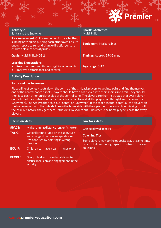|              | <b>XS Premier</b> |  |
|--------------|-------------------|--|
| $\mathbf{1}$ |                   |  |
|              |                   |  |

## Activity 7: Santa and the Snowmen Risk Assessment: Children running into each other, slipping or tripping, pushing each other over. Ensure enough space to run and change direction, ensure children clear of activity rules. **Quals:** Multi Skills, NGB 2 Timings: Approx. 25-35 mins

#### Learning Expectations:

- Reaction speed and timings, agility movements.
- Improve performance and control.

Sport(s)/Activities: Multi Skills

Equipment: Markers, bibs

Age range: 8-12

#### Activity Description:

#### Santa and the Snowmen:

Place a line of cones / spots down the centre of the grid, ask players to get into pairs and find themselves one of the central cones / spots. Players should have a bib tucked into their shorts like a tail. They should then face each other on either side of the central cone. The players are then instructed that every player on the left of the central cone is the home team (Santa) and all the players on the right are the away team (Snowmen). The Act Pro then calls out "Santa" or "Snowmen". If the coach shouts "Santa", all the players on the home team run to the outside line on the home side with their partner (the away player) trying to pull their tail out before they get there. If the Act Pro shouts out "Snowmen", the home players chase the away players.

| <b>Inclusion Ideas:</b> |                                                                                               | Low No's Ideas:                                                                                         |
|-------------------------|-----------------------------------------------------------------------------------------------|---------------------------------------------------------------------------------------------------------|
| <b>SPACE:</b>           | Make running distance longer / shorter.                                                       | Can be played in pairs.                                                                                 |
| <b>TASK:</b>            | Get children to jump on the spot, turn<br>and change direction, swap sides, Act               | <b>Coaching Tips:</b>                                                                                   |
|                         | Pro confuses by pointing in wrong<br>direction.                                               | Some players may go the opposite way at same time,<br>be sure to leave enough space in between to avoid |
| <b>EQUIP:</b>           | Children can have a ball in hands or at<br>feet.                                              | collisions.                                                                                             |
| <b>PEOPLE:</b>          | Group children of similar abilities to<br>ensure inclusion and engagement in the<br>activity. |                                                                                                         |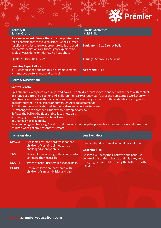

#### Activity 8: Santa's Grotto

**Risk Assessment:** Ensure there is appropriate space for all participants to avoid collisions. Check surface for slips and trips, ensure appropriate balls are used and safety expiations are thoroughly explained to avoid any accidents or injuries. No head shots.

#### Learning Expectations:

- Reaction speed and timings, agility movements.
- Improve performance and control.

Sport(s)/Activities: Multi Skills

**Equipment:** Size 3 rugby balls

**Quals:** Multi Skills, NGB 2 **Timings:** Approx. 45-55 mins

Age range: 8-12

### Activity Description:

#### Santa's Grotto:

Split children evenly into 4 equally sized boxes. The children must move in and out of the space with control in a range of different directions. All children then carry a rugby ball (a present from Santa's workshop) with both hands and perform the same various movements, keeping the ball in both hands while staying in their designated zone - no collisions or bumps. On Act Pro's command:

- 1: Children throw and catch ball to themselves and continue to move.
- 2: Exchange with another partner without dropping any balls.
- 3: Place the ball on the floor and collect a new ball.
- 4: Change grids clockwise / anticlockwise.
- 5: Change grids diagonally.

Try combining numbers, e.g. 1 and 5. Children must not drop the presents as they will break and some poor children wont get any presents this year!

#### Inclusion Ideas: Low No's Ideas: SPACE: TASK: EQUIP: PEOPLE: Set some easy and hard tasks so that children of certain abilities can be challenged appropriately. Give children lives e.g. if they bump into someone they lose a life. Types of balls - use smaller sponge balls. Ensure children are partnered with children of similar abilities and size. Can be played with small amounts of children. Coaching Tips: Children will carry their ball with one hand. Be aware of this and emphasize that it is a key rule in tag rugby that children carry the ball with both hands.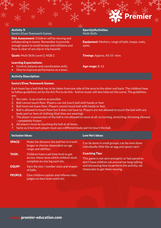| <b>Activity 9:</b><br><b>Santa's Elves Teamwork Games</b>                                                                                                                                           | <b>Sport(s)/Activities:</b><br>Multi Skills                      |
|-----------------------------------------------------------------------------------------------------------------------------------------------------------------------------------------------------|------------------------------------------------------------------|
| <b>Risk Assessment:</b> Children will be moving and<br>collaborating in teams. Remember to provide<br>enough space to avoid bumps and collisions and<br>floor is clear of any slip or trip hazards. | <b>Equipment:</b> Markers, range of balls, hoops, mats,<br>spots |
| <b>Quals:</b> Multi Skills Level 2, NGB 2                                                                                                                                                           | <b>Timings: Approx. 45-55 mins</b>                               |
| <b>Learning Expectations:</b><br>Control, balance and coordination skills.<br>$\bullet$                                                                                                             | Age range: $8-12$                                                |

How to improve performance as a team.

Activity Description:

#### Santa's Elves Teamwork Games:

Each team has a ball that has to be taken from one side of the area to the other and back. The children have to follow guidelines set by the Act Pro to do this - festive music will also help set the scene. The guidelines are:

- 1. No rules is as creative as possible.
- 2. Ball cannot touch floor. Players can not touch ball with hands or feet.
- 3. Ball must not leave floor. Players cannot touch ball with hands or feet.
- 4. Ball is allowed to touch floor but it does not have to. Players are not allowed to touch the ball with any body part or item of clothing (that they are wearing).
- 5. The player in possession of the ball is not allowed to move at all, no turning, stretching, throwing allowed - completely frozen.
- 6. All players must be touching the ball at all times.
- 7. Same as 6 but each player must use a different body part to touch the ball.

| <b>Inclusion Ideas:</b> |                                                                                                                  | Low No's Ideas:                                                                                                                                                                                                   |
|-------------------------|------------------------------------------------------------------------------------------------------------------|-------------------------------------------------------------------------------------------------------------------------------------------------------------------------------------------------------------------|
| <b>SPACE:</b>           | Make the distance the ball has to travel<br>longer or shorter dependent on age<br>range and abilities.           | Can be done in small groups; can be even done<br>individually little like an egg and spoon race!                                                                                                                  |
| <b>TASK:</b>            | Children have a set time limit to get<br>across. Have races which children must<br>complete on one leg each etc. | <b>Coaching Tips:</b><br>This game is not very energetic or fast paced so<br>don't have children sat around too long talking<br>and discussing how to perform the activity; set<br>timescales to get them moving. |
| <b>EQUIP:</b>           | Vary the size / number sizes and shapes<br>of balls.                                                             |                                                                                                                                                                                                                   |
| <b>PEOPLE:</b>          | Give children captain and referee roles,<br>judges on best team work etc.                                        |                                                                                                                                                                                                                   |